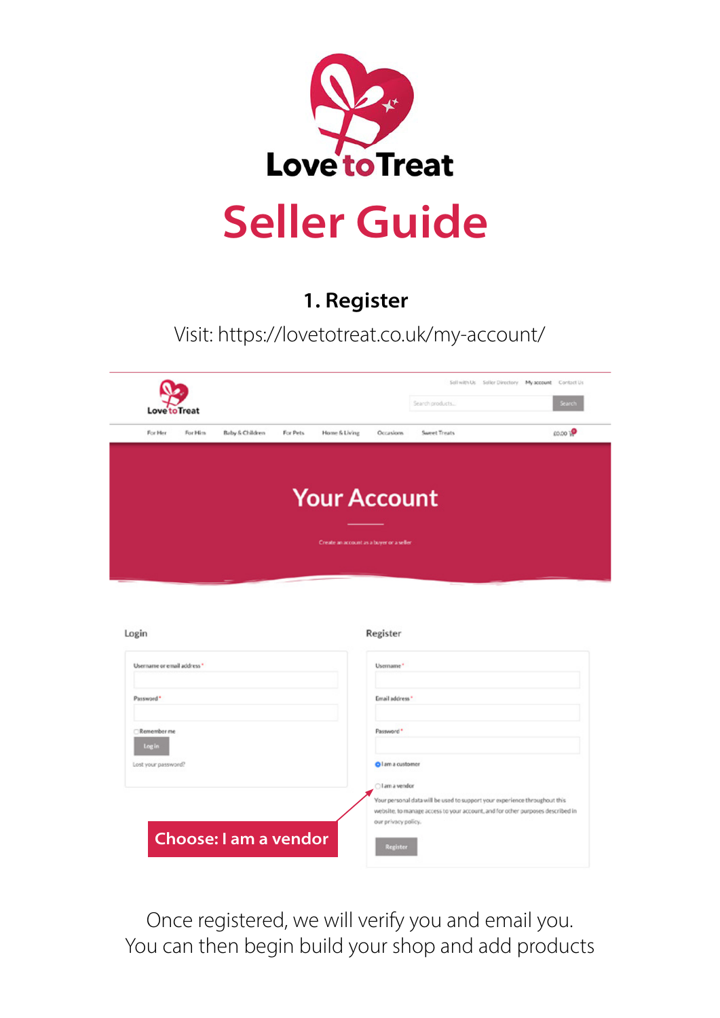

### 1. Register

Visit: https://lovetotreat.co.uk/my-account/



Register

| Username or email address." | Username*                                                                                                                                                                           |
|-----------------------------|-------------------------------------------------------------------------------------------------------------------------------------------------------------------------------------|
| Password*                   | Email address *                                                                                                                                                                     |
| Remember me<br>Log in       | Password*                                                                                                                                                                           |
| Lost your password?         | <b>O</b> I am a customer                                                                                                                                                            |
|                             | Cil am a vendor                                                                                                                                                                     |
|                             | Your personal data will be used to support your experience throughout this<br>website, to manage access to your account, and for other purposes described in<br>our privacy policy. |
| Choose: I am a vendor       | <b>Register</b>                                                                                                                                                                     |

Once registered, we will verify you and email you. You can then begin build your shop and add products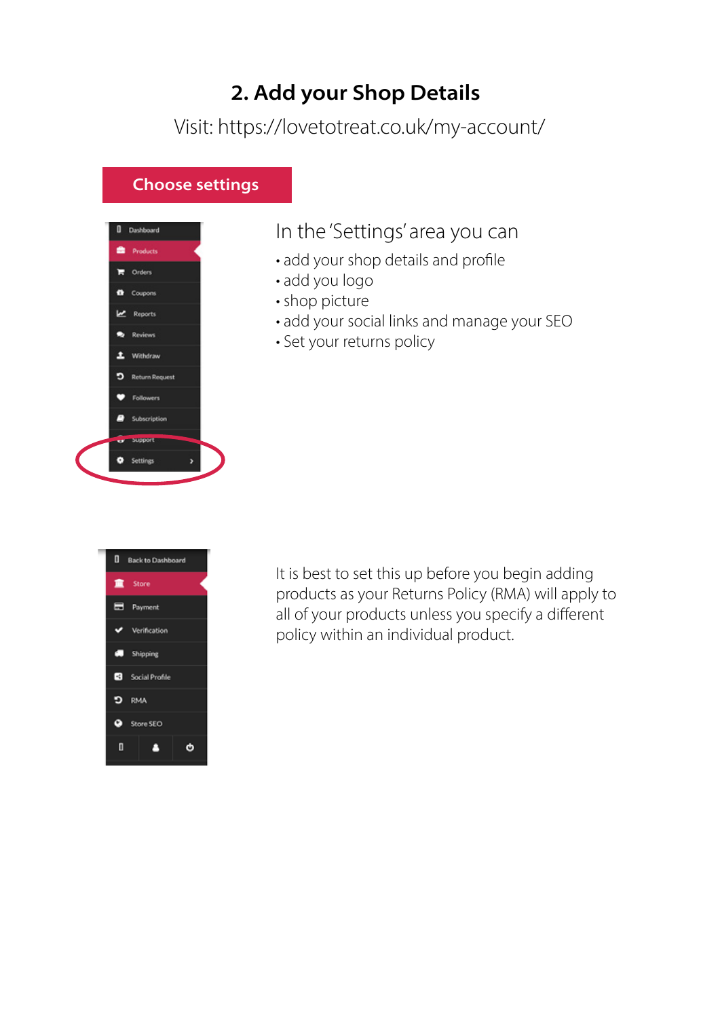# 2. Add your Shop Details

Visit: https://lovetotreat.co.uk/my-account/

#### Choose settings



### In the 'Settings' area you can

- add your shop details and profile
- add you logo
- shop picture
- add your social links and manage your SEO
- Set your returns policy



It is best to set this up before you begin adding products as your Returns Policy (RMA) will apply to all of your products unless you specify a different policy within an individual product.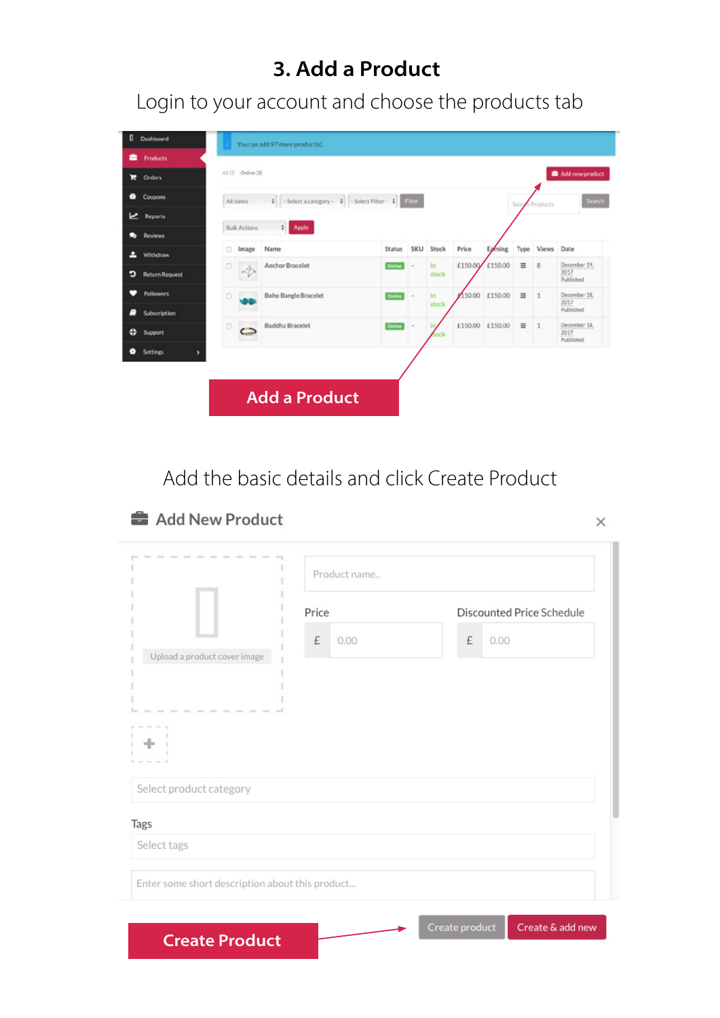## 3. Add a Product

Login to your account and choose the products tab

| 0<br>Dashboard                              |         |                     | You can add 97 more product(s).               |        |            |             |                 |         |          |                |                                   |
|---------------------------------------------|---------|---------------------|-----------------------------------------------|--------|------------|-------------|-----------------|---------|----------|----------------|-----------------------------------|
| Products                                    |         |                     |                                               |        |            |             |                 |         |          |                |                                   |
| ы<br>Orders                                 |         | All (3) Online (3)  |                                               |        |            |             |                 |         |          |                | Add new product                   |
| Coupons<br>۰                                |         | All dates           | + - Select a category - + - Select Filter - + |        | Filter     |             |                 |         | Scar     | n Products     | Search                            |
| یما<br><b>Reports</b>                       |         |                     |                                               |        |            |             |                 |         |          |                |                                   |
| Reviews                                     |         | <b>Bulk Actions</b> | <b>C</b> Apply                                |        |            |             |                 |         |          |                |                                   |
| ш<br>Withdraw                               | o       | Image               | Name                                          | Status | <b>SKU</b> | Stock       | Price           | Exming  | Type     | Views Date     |                                   |
| כי<br><b>Return Request</b>                 | $\circ$ | s Dr                | Anchor Bracelet                               | Online | $\sim$     | In<br>stock | £150.00/        | £150.00 | $\equiv$ | 8              | December 19,<br>2017<br>Published |
| n<br><b>Followers</b><br>Subscription<br>m, | o       |                     | <b>Boho Bangle Bracelet</b>                   | Online |            | In<br>stock | 50.00           | £150.00 | $\equiv$ | $\overline{1}$ | December 18.<br>2017<br>Published |
| o<br>Support                                | $\Box$  | C                   | <b>Buddha Bracelet</b>                        | Online |            | In.<br>ock  | £150.00 £150.00 |         | $\equiv$ | $\overline{1}$ | December 18.<br>2017<br>Published |
| ۰<br><b>Settings</b><br>У                   |         |                     |                                               |        |            |             |                 |         |          |                |                                   |
|                                             |         |                     |                                               |        |            |             |                 |         |          |                |                                   |
|                                             |         |                     | <b>Add a Product</b>                          |        |            |             |                 |         |          |                |                                   |

Add the basic details and click Create Product

#### Add New Product

Create Product

| <b>ANTISTICS</b> |  |  |
|------------------|--|--|
|                  |  |  |
|                  |  |  |

|                                            | Product name |                           |
|--------------------------------------------|--------------|---------------------------|
|                                            | Price        | Discounted Price Schedule |
|                                            | £<br>0.00    | £<br>0.00                 |
| Upload a product cover image<br>---------- | $\sim$       |                           |
| Select product category                    |              |                           |
| Tags                                       |              |                           |
| Select tags                                |              |                           |
|                                            |              |                           |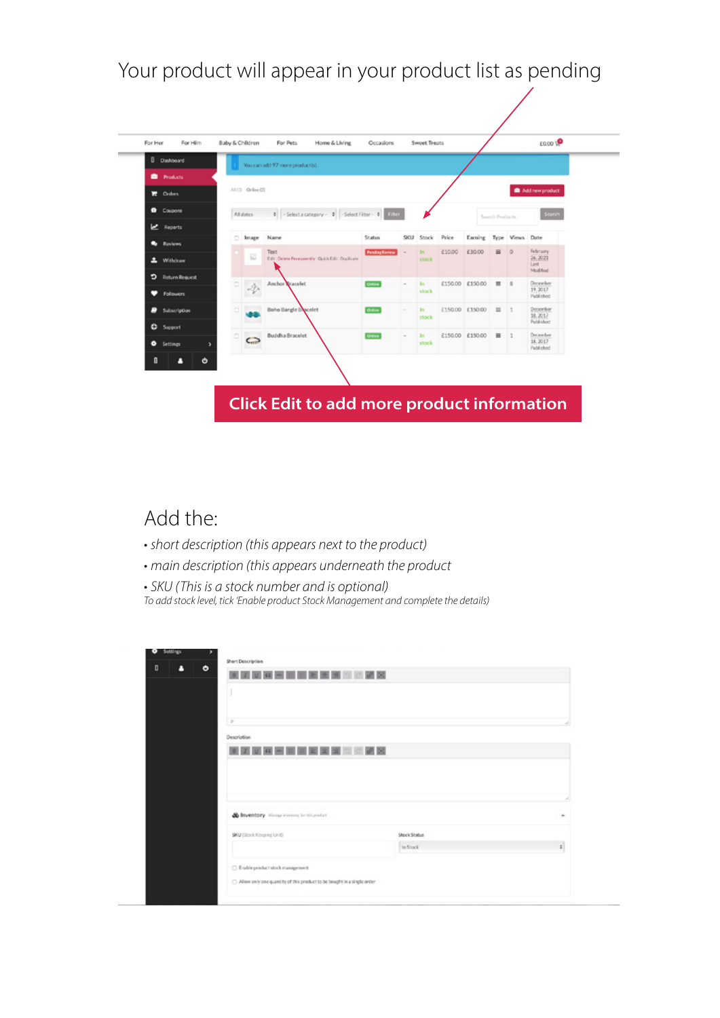Your product will appear in your product list as pending

| <b>D</b> Dashboard   |   |                    | You can add 97 more productivi.                      |                       |                |              |         |                 |                 |                 |                              |
|----------------------|---|--------------------|------------------------------------------------------|-----------------------|----------------|--------------|---------|-----------------|-----------------|-----------------|------------------------------|
| <b>D</b> Products    |   |                    |                                                      |                       |                |              |         |                 |                 |                 |                              |
| $\mathbb{R}$ Orders  |   | All (3) Ordine (3) |                                                      |                       |                |              |         |                 |                 |                 | Add new product              |
| <sup>t</sup> Coupons |   | Alidates           | 0 - Select a category - 0 - Select Filter - 0 1980   |                       |                |              |         |                 | Search Products |                 | Search                       |
| <u>w</u><br>Reports  |   |                    |                                                      |                       |                |              |         |                 |                 |                 |                              |
| Reviews              |   | Image              | Name                                                 | Status                | SICLE          | Stock        | Price   | Earning         |                 | Type Views Date | February                     |
| a.<br>Withdraw       |   | ₽                  | Test<br>Edit Delete Personershy Quick Edit Duclicate | <b>Pending Review</b> |                | tn'<br>stock | £10.00  | £10.00          | $\equiv$        | $\circ$         | 26, 2021<br>Last<br>Modified |
| ∍<br>Return Request  |   |                    | Anchor Tracelet                                      | Other                 | $\overline{a}$ | In.          |         | £150.00 £150.00 | $\equiv$        | B               | December                     |
| <b>Followers</b>     |   | Dr.                |                                                      |                       |                | stock        |         |                 |                 |                 | 19.2017<br>Published         |
| <b>Subscription</b>  |   |                    | <b>Boho Bangle Bacelet</b>                           | Office                | $\sim$         | In:<br>stock |         | £150.00 £150.00 | $\equiv$        | $\pm 1$         | Docembor<br>18, 2017         |
| <b>C</b> Suport      | ö |                    | <b>Buddha Bracelet</b>                               | Office                | $\sim$         | <b>In</b>    | £150.00 | £150.00         | $\equiv$        | 11              | Published<br>December        |
| ۰<br>Settings<br>٠   |   | $\subset$          |                                                      |                       |                | stock        |         |                 |                 |                 | 18, 2017<br>Published        |
| п<br>۰<br>Δ          |   |                    |                                                      |                       |                |              |         |                 |                 |                 |                              |

### Add the:

- *short description (this appears next to the product)*
- *main description (this appears underneath the product*
- *SKU (This is a stock number and is optional) To add stock level, tick 'Enable product Stock Management and complete the details)*

| O<br>۰<br>п | <b>BOX BOX BOX BOX BUT BUT HE BECKER BUT IT IT WAS REPORTED</b> |              |               |
|-------------|-----------------------------------------------------------------|--------------|---------------|
|             |                                                                 |              |               |
|             |                                                                 |              |               |
|             |                                                                 |              |               |
|             | $\overline{p}$                                                  |              |               |
|             | Description                                                     |              |               |
|             |                                                                 |              |               |
|             | <b>NIZI ME NI ME NI ME NI ME NI ME NI ME</b>                    |              |               |
|             |                                                                 |              |               |
|             |                                                                 |              |               |
|             |                                                                 |              |               |
|             |                                                                 |              |               |
|             |                                                                 |              |               |
|             |                                                                 |              |               |
|             |                                                                 |              |               |
|             | Colmventory Manage investory for this product                   |              |               |
|             | SKU (Stock Keeping Unit)                                        | Stock Status |               |
|             |                                                                 | In Stock     | $\frac{1}{2}$ |
|             |                                                                 |              |               |
|             | □ E sable product stock management                              |              |               |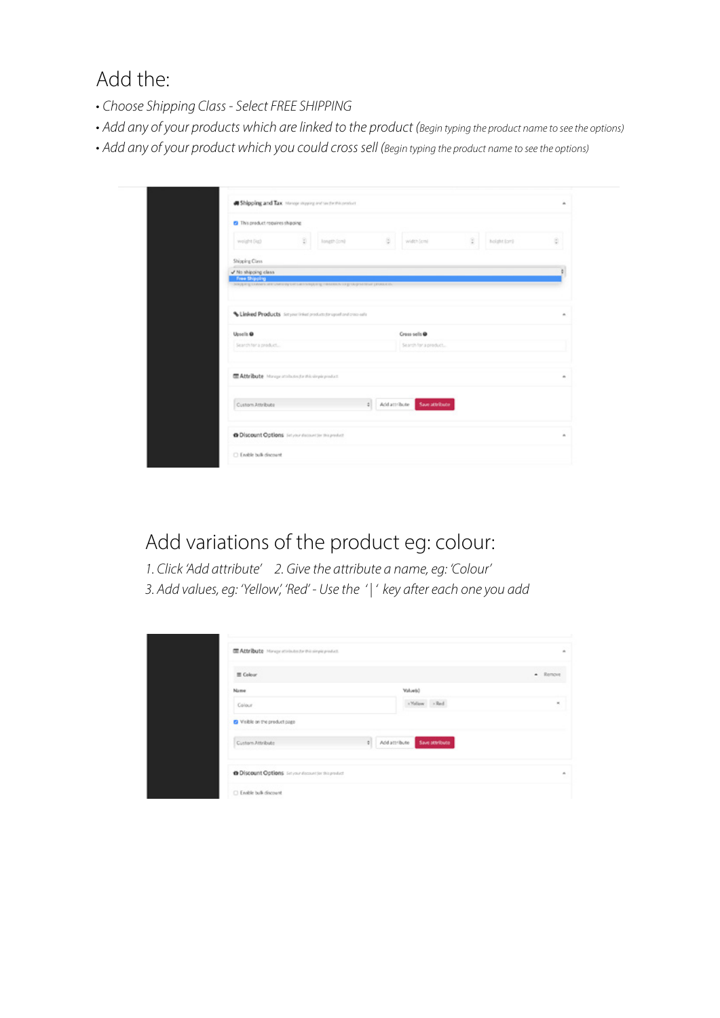Add the:

- *Choose Shipping Class Select FREE SHIPPING*
- *Add any of your products which are linked to the product (Begin typing the product name to see the options)*
- *Add any of your product which you could cross sell (Begin typing the product name to see the options)*

| <sup>2</sup> This product requires shipping         |                 |                                                        |     |                              |      |             |  |
|-----------------------------------------------------|-----------------|--------------------------------------------------------|-----|------------------------------|------|-------------|--|
| Yes) trigins                                        | $\frac{9}{8}$ ) | Iongth (cm)                                            | 5.1 | width [cm]                   | 1811 | holght (cm) |  |
| Shipping Class                                      |                 |                                                        |     |                              |      |             |  |
| V No shipping class<br>Free Shipping                |                 |                                                        |     |                              |      |             |  |
|                                                     |                 |                                                        |     |                              |      |             |  |
|                                                     |                 | Linked Products Seymethied protection and criteria adv |     |                              |      |             |  |
|                                                     |                 |                                                        |     |                              |      |             |  |
|                                                     |                 |                                                        |     | Cross sells @                |      |             |  |
| Upsells @<br>Search for a product                   |                 |                                                        |     | Search for a product         |      |             |  |
|                                                     |                 |                                                        |     |                              |      |             |  |
|                                                     |                 |                                                        |     |                              |      |             |  |
| Attribute Mange attainance this simple product.     |                 |                                                        |     |                              |      |             |  |
| Custom Attribute                                    |                 |                                                        |     | : Adduttritute Saveattribute |      |             |  |
| @ Discount Options Service decount for this product |                 |                                                        |     |                              |      |             |  |

### Add variations of the product eg: colour:

*1. Click 'Add attribute' 2. Give the attribute a name, eg: 'Colour' 3. Add values, eg: 'Yellow', 'Red' - Use the ' | ' key after each one you add*

|                                   | $-$ Remove |
|-----------------------------------|------------|
|                                   |            |
| Value(s)                          |            |
| - Yollow - Red                    | $\approx$  |
|                                   |            |
| 0 Add attribute<br>Save attribute |            |
|                                   |            |
|                                   |            |